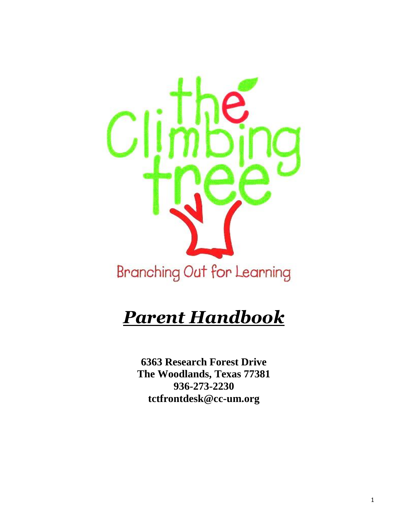

# *Parent Handbook*

**6363 Research Forest Drive The Woodlands, Texas 77381 936-273-2230 tctfrontdesk@cc-um.org**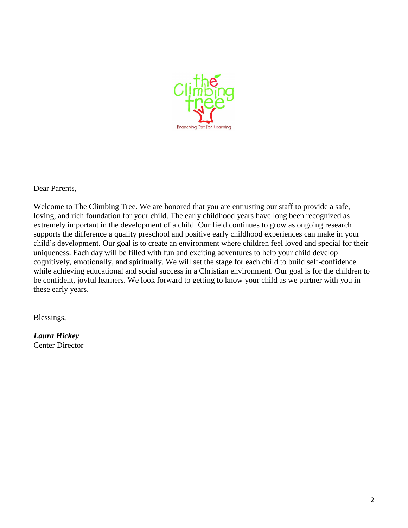

Dear Parents,

Welcome to The Climbing Tree. We are honored that you are entrusting our staff to provide a safe, loving, and rich foundation for your child. The early childhood years have long been recognized as extremely important in the development of a child. Our field continues to grow as ongoing research supports the difference a quality preschool and positive early childhood experiences can make in your child's development. Our goal is to create an environment where children feel loved and special for their uniqueness. Each day will be filled with fun and exciting adventures to help your child develop cognitively, emotionally, and spiritually. We will set the stage for each child to build self-confidence while achieving educational and social success in a Christian environment. Our goal is for the children to be confident, joyful learners. We look forward to getting to know your child as we partner with you in these early years.

Blessings,

*Laura Hickey* Center Director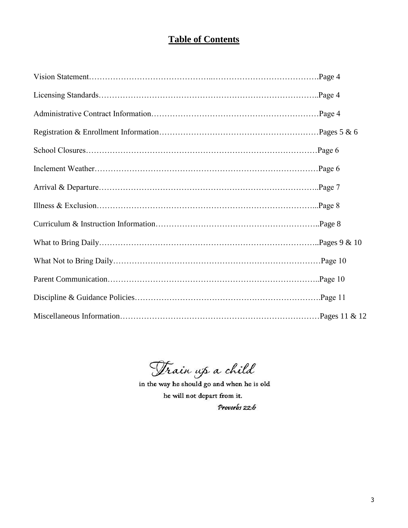# **Table of Contents**

Irain up a child

in the way he should go and when he is old he will not depart from it. Proverbs 22:6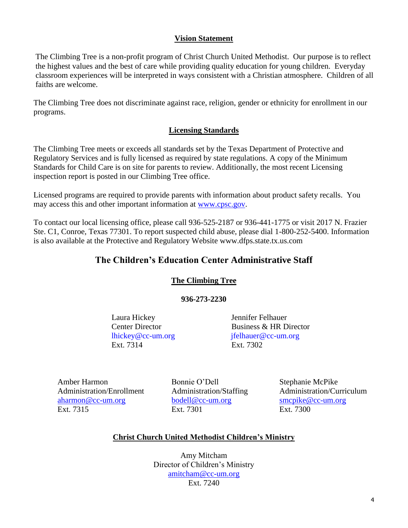#### **Vision Statement**

The Climbing Tree is a non-profit program of Christ Church United Methodist. Our purpose is to reflect the highest values and the best of care while providing quality education for young children. Everyday classroom experiences will be interpreted in ways consistent with a Christian atmosphere. Children of all faiths are welcome.

The Climbing Tree does not discriminate against race, religion, gender or ethnicity for enrollment in our programs.

#### **Licensing Standards**

The Climbing Tree meets or exceeds all standards set by the Texas Department of Protective and Regulatory Services and is fully licensed as required by state regulations. A copy of the Minimum Standards for Child Care is on site for parents to review. Additionally, the most recent Licensing inspection report is posted in our Climbing Tree office.

Licensed programs are required to provide parents with information about product safety recalls. You may access this and other important information at [www.cpsc.gov.](http://www.cpsc.gov/)

To contact our local licensing office, please call 936-525-2187 or 936-441-1775 or visit 2017 N. Frazier Ste. C1, Conroe, Texas 77301. To report suspected child abuse, please dial 1-800-252-5400. Information is also available at the Protective and Regulatory Website www.dfps.state.tx.us.com

# **The Children's Education Center Administrative Staff**

#### **The Climbing Tree**

#### **936-273-2230**

 Laura Hickey Jennifer Felhauer Ext. 7314 Ext. 7302

**Center Director** Business & HR Director [lhickey@cc-um.org](mailto:lhickey@cc-um.org) [jfelhauer@cc-um.org](mailto:jfelhauer@cc-um.org)

Amber Harmon Bonnie O'Dell Stephanie McPike [aharmon@cc-um.org](mailto:aharmon@cc-um.org) [bodell@cc-um.org](mailto:bodell@cc-um.org) [smcpike@cc-um.org](mailto:smcpike@cc-um.org) Ext. 7315 Ext. 7301 Ext. 7300

Administration/Enrollment Administration/Staffing Administration/Curriculum

#### **Christ Church United Methodist Children's Ministry**

Amy Mitcham Director of Children's Ministry [amitcham@cc-um.org](mailto:amitcham@cc-um.org) Ext. 7240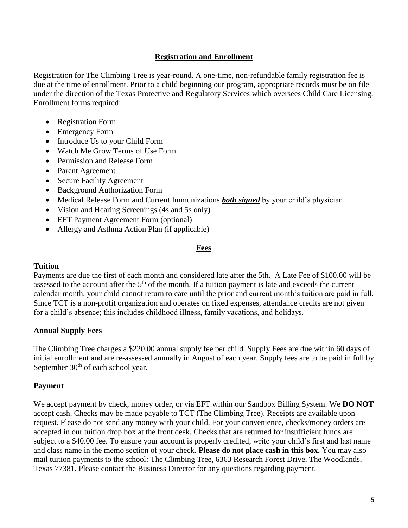### **Registration and Enrollment**

Registration for The Climbing Tree is year-round. A one-time, non-refundable family registration fee is due at the time of enrollment. Prior to a child beginning our program, appropriate records must be on file under the direction of the Texas Protective and Regulatory Services which oversees Child Care Licensing. Enrollment forms required:

- Registration Form
- Emergency Form
- Introduce Us to your Child Form
- Watch Me Grow Terms of Use Form
- Permission and Release Form
- Parent Agreement
- Secure Facility Agreement
- Background Authorization Form
- Medical Release Form and Current Immunizations **both signed** by your child's physician
- Vision and Hearing Screenings (4s and 5s only)
- EFT Payment Agreement Form (optional)
- Allergy and Asthma Action Plan (if applicable)

#### **Fees**

#### **Tuition**

Payments are due the first of each month and considered late after the 5th. A Late Fee of \$100.00 will be assessed to the account after the  $5<sup>th</sup>$  of the month. If a tuition payment is late and exceeds the current calendar month, your child cannot return to care until the prior and current month's tuition are paid in full. Since TCT is a non-profit organization and operates on fixed expenses, attendance credits are not given for a child's absence; this includes childhood illness, family vacations, and holidays.

#### **Annual Supply Fees**

The Climbing Tree charges a \$220.00 annual supply fee per child. Supply Fees are due within 60 days of initial enrollment and are re-assessed annually in August of each year. Supply fees are to be paid in full by September 30<sup>th</sup> of each school year.

#### **Payment**

We accept payment by check, money order, or via EFT within our Sandbox Billing System. We **DO NOT** accept cash. Checks may be made payable to TCT (The Climbing Tree). Receipts are available upon request. Please do not send any money with your child. For your convenience, checks/money orders are accepted in our tuition drop box at the front desk. Checks that are returned for insufficient funds are subject to a \$40.00 fee. To ensure your account is properly credited, write your child's first and last name and class name in the memo section of your check. **Please do not place cash in this box.** You may also mail tuition payments to the school: The Climbing Tree, 6363 Research Forest Drive, The Woodlands, Texas 77381. Please contact the Business Director for any questions regarding payment.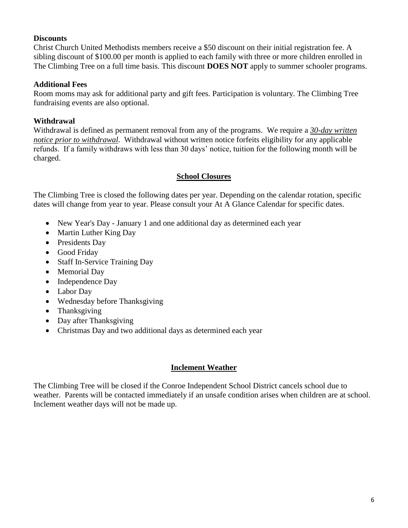#### **Discounts**

Christ Church United Methodists members receive a \$50 discount on their initial registration fee. A sibling discount of \$100.00 per month is applied to each family with three or more children enrolled in The Climbing Tree on a full time basis. This discount **DOES NOT** apply to summer schooler programs.

#### **Additional Fees**

Room moms may ask for additional party and gift fees. Participation is voluntary. The Climbing Tree fundraising events are also optional.

#### **Withdrawal**

Withdrawal is defined as permanent removal from any of the programs. We require a *30-day written notice prior to withdrawal*. Withdrawal without written notice forfeits eligibility for any applicable refunds. If a family withdraws with less than 30 days' notice, tuition for the following month will be charged.

#### **School Closures**

The Climbing Tree is closed the following dates per year. Depending on the calendar rotation, specific dates will change from year to year. Please consult your At A Glance Calendar for specific dates.

- New Year's Day January 1 and one additional day as determined each year
- Martin Luther King Day
- Presidents Day
- Good Friday
- Staff In-Service Training Day
- Memorial Day
- Independence Day
- Labor Day
- Wednesday before Thanksgiving
- Thanksgiving
- Day after Thanksgiving
- Christmas Day and two additional days as determined each year

#### **Inclement Weather**

The Climbing Tree will be closed if the Conroe Independent School District cancels school due to weather. Parents will be contacted immediately if an unsafe condition arises when children are at school. Inclement weather days will not be made up.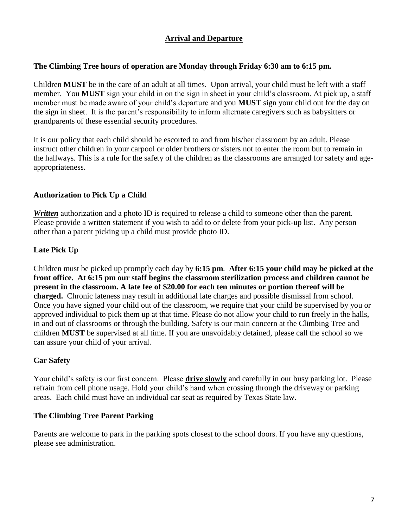# **Arrival and Departure**

#### **The Climbing Tree hours of operation are Monday through Friday 6:30 am to 6:15 pm.**

Children **MUST** be in the care of an adult at all times. Upon arrival, your child must be left with a staff member. You **MUST** sign your child in on the sign in sheet in your child's classroom. At pick up, a staff member must be made aware of your child's departure and you **MUST** sign your child out for the day on the sign in sheet. It is the parent's responsibility to inform alternate caregivers such as babysitters or grandparents of these essential security procedures.

It is our policy that each child should be escorted to and from his/her classroom by an adult. Please instruct other children in your carpool or older brothers or sisters not to enter the room but to remain in the hallways. This is a rule for the safety of the children as the classrooms are arranged for safety and ageappropriateness.

#### **Authorization to Pick Up a Child**

*Written* authorization and a photo ID is required to release a child to someone other than the parent. Please provide a written statement if you wish to add to or delete from your pick-up list. Any person other than a parent picking up a child must provide photo ID.

#### **Late Pick Up**

Children must be picked up promptly each day by **6:15 pm**. **After 6:15 your child may be picked at the front office. At 6:15 pm our staff begins the classroom sterilization process and children cannot be present in the classroom. A late fee of \$20.00 for each ten minutes or portion thereof will be charged.** Chronic lateness may result in additional late charges and possible dismissal from school. Once you have signed your child out of the classroom, we require that your child be supervised by you or approved individual to pick them up at that time. Please do not allow your child to run freely in the halls, in and out of classrooms or through the building. Safety is our main concern at the Climbing Tree and children **MUST** be supervised at all time. If you are unavoidably detained, please call the school so we can assure your child of your arrival.

#### **Car Safety**

Your child's safety is our first concern. Please **drive slowly** and carefully in our busy parking lot. Please refrain from cell phone usage. Hold your child's hand when crossing through the driveway or parking areas. Each child must have an individual car seat as required by Texas State law.

#### **The Climbing Tree Parent Parking**

Parents are welcome to park in the parking spots closest to the school doors. If you have any questions, please see administration.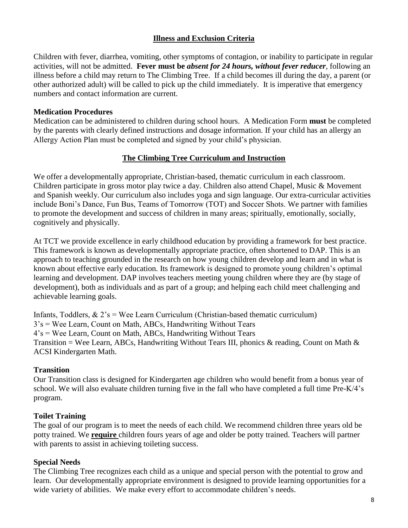### **Illness and Exclusion Criteria**

Children with fever, diarrhea, vomiting, other symptoms of contagion, or inability to participate in regular activities, will not be admitted. **Fever must be** *absent for 24 hours, without fever reducer,* following an illness before a child may return to The Climbing Tree. If a child becomes ill during the day, a parent (or other authorized adult) will be called to pick up the child immediately. It is imperative that emergency numbers and contact information are current.

#### **Medication Procedures**

Medication can be administered to children during school hours. A Medication Form **must** be completed by the parents with clearly defined instructions and dosage information. If your child has an allergy an Allergy Action Plan must be completed and signed by your child's physician.

#### **The Climbing Tree Curriculum and Instruction**

We offer a developmentally appropriate, Christian-based, thematic curriculum in each classroom. Children participate in gross motor play twice a day. Children also attend Chapel, Music & Movement and Spanish weekly. Our curriculum also includes yoga and sign language. Our extra-curricular activities include Boni's Dance, Fun Bus, Teams of Tomorrow (TOT) and Soccer Shots. We partner with families to promote the development and success of children in many areas; spiritually, emotionally, socially, cognitively and physically.

At TCT we provide excellence in early childhood education by providing a framework for best practice. This framework is known as developmentally appropriate practice, often shortened to DAP. This is an approach to teaching grounded in the research on how young children develop and learn and in what is known about effective early education. Its framework is designed to promote young children's optimal learning and development. DAP involves teachers meeting young children where they are (by stage of development), both as individuals and as part of a group; and helping each child meet challenging and achievable learning goals.

Infants, Toddlers,  $\& 2$ 's = Wee Learn Curriculum (Christian-based thematic curriculum)  $3's =$  Wee Learn, Count on Math, ABCs, Handwriting Without Tears  $4's$  = Wee Learn, Count on Math, ABCs, Handwriting Without Tears Transition = Wee Learn, ABCs, Handwriting Without Tears III, phonics & reading, Count on Math  $\&$ ACSI Kindergarten Math.

#### **Transition**

Our Transition class is designed for Kindergarten age children who would benefit from a bonus year of school. We will also evaluate children turning five in the fall who have completed a full time Pre-K/4's program.

#### **Toilet Training**

The goal of our program is to meet the needs of each child. We recommend children three years old be potty trained. We **require** children fours years of age and older be potty trained. Teachers will partner with parents to assist in achieving toileting success.

#### **Special Needs**

The Climbing Tree recognizes each child as a unique and special person with the potential to grow and learn. Our developmentally appropriate environment is designed to provide learning opportunities for a wide variety of abilities. We make every effort to accommodate children's needs.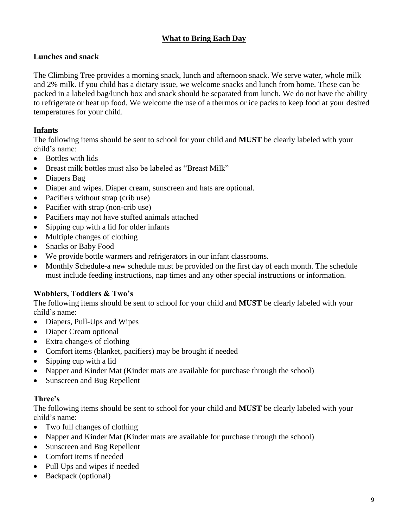# **What to Bring Each Day**

# **Lunches and snack**

The Climbing Tree provides a morning snack, lunch and afternoon snack. We serve water, whole milk and 2% milk. If you child has a dietary issue, we welcome snacks and lunch from home. These can be packed in a labeled bag/lunch box and snack should be separated from lunch. We do not have the ability to refrigerate or heat up food. We welcome the use of a thermos or ice packs to keep food at your desired temperatures for your child.

### **Infants**

The following items should be sent to school for your child and **MUST** be clearly labeled with your child's name:

- Bottles with lids
- Breast milk bottles must also be labeled as "Breast Milk"
- Diapers Bag
- Diaper and wipes. Diaper cream, sunscreen and hats are optional.
- Pacifiers without strap (crib use)
- Pacifier with strap (non-crib use)
- Pacifiers may not have stuffed animals attached
- Sipping cup with a lid for older infants
- Multiple changes of clothing
- Snacks or Baby Food
- We provide bottle warmers and refrigerators in our infant classrooms.
- Monthly Schedule-a new schedule must be provided on the first day of each month. The schedule must include feeding instructions, nap times and any other special instructions or information.

#### **Wobblers, Toddlers & Two's**

The following items should be sent to school for your child and **MUST** be clearly labeled with your child's name:

- Diapers, Pull-Ups and Wipes
- Diaper Cream optional
- Extra change/s of clothing
- Comfort items (blanket, pacifiers) may be brought if needed
- Sipping cup with a lid
- Napper and Kinder Mat (Kinder mats are available for purchase through the school)
- Sunscreen and Bug Repellent

#### **Three's**

The following items should be sent to school for your child and **MUST** be clearly labeled with your child's name:

- Two full changes of clothing
- Napper and Kinder Mat (Kinder mats are available for purchase through the school)
- Sunscreen and Bug Repellent
- Comfort items if needed
- Pull Ups and wipes if needed
- Backpack (optional)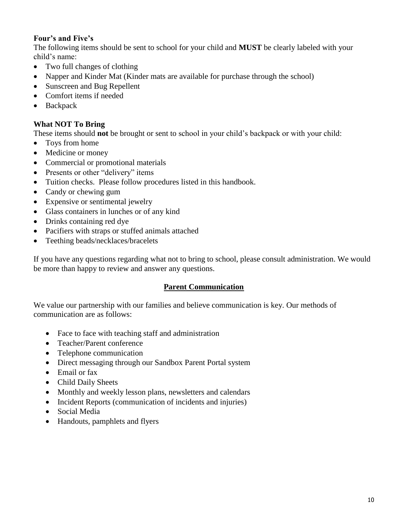# **Four's and Five's**

The following items should be sent to school for your child and **MUST** be clearly labeled with your child's name:

- Two full changes of clothing
- Napper and Kinder Mat (Kinder mats are available for purchase through the school)
- Sunscreen and Bug Repellent
- Comfort items if needed
- Backpack

# **What NOT To Bring**

These items should **not** be brought or sent to school in your child's backpack or with your child:

- Toys from home
- Medicine or money
- Commercial or promotional materials
- Presents or other "delivery" items
- Tuition checks. Please follow procedures listed in this handbook.
- Candy or chewing gum
- Expensive or sentimental jewelry
- Glass containers in lunches or of any kind
- Drinks containing red dye
- Pacifiers with straps or stuffed animals attached
- Teething beads/necklaces/bracelets

If you have any questions regarding what not to bring to school, please consult administration. We would be more than happy to review and answer any questions.

#### **Parent Communication**

We value our partnership with our families and believe communication is key. Our methods of communication are as follows:

- Face to face with teaching staff and administration
- Teacher/Parent conference
- Telephone communication
- Direct messaging through our Sandbox Parent Portal system
- Email or fax
- Child Daily Sheets
- Monthly and weekly lesson plans, newsletters and calendars
- Incident Reports (communication of incidents and injuries)
- Social Media
- Handouts, pamphlets and flyers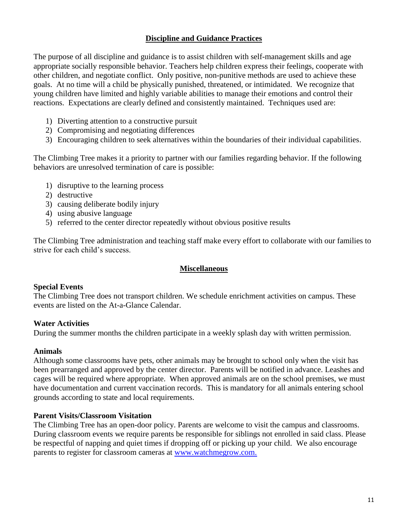#### **Discipline and Guidance Practices**

The purpose of all discipline and guidance is to assist children with self-management skills and age appropriate socially responsible behavior. Teachers help children express their feelings, cooperate with other children, and negotiate conflict. Only positive, non-punitive methods are used to achieve these goals. At no time will a child be physically punished, threatened, or intimidated. We recognize that young children have limited and highly variable abilities to manage their emotions and control their reactions. Expectations are clearly defined and consistently maintained. Techniques used are:

- 1) Diverting attention to a constructive pursuit
- 2) Compromising and negotiating differences
- 3) Encouraging children to seek alternatives within the boundaries of their individual capabilities.

The Climbing Tree makes it a priority to partner with our families regarding behavior. If the following behaviors are unresolved termination of care is possible:

- 1) disruptive to the learning process
- 2) destructive
- 3) causing deliberate bodily injury
- 4) using abusive language
- 5) referred to the center director repeatedly without obvious positive results

The Climbing Tree administration and teaching staff make every effort to collaborate with our families to strive for each child's success.

#### **Miscellaneous**

#### **Special Events**

The Climbing Tree does not transport children. We schedule enrichment activities on campus. These events are listed on the At-a-Glance Calendar.

# **Water Activities**

During the summer months the children participate in a weekly splash day with written permission.

#### **Animals**

Although some classrooms have pets, other animals may be brought to school only when the visit has been prearranged and approved by the center director. Parents will be notified in advance. Leashes and cages will be required where appropriate. When approved animals are on the school premises, we must have documentation and current vaccination records. This is mandatory for all animals entering school grounds according to state and local requirements.

#### **Parent Visits/Classroom Visitation**

The Climbing Tree has an open-door policy. Parents are welcome to visit the campus and classrooms. During classroom events we require parents be responsible for siblings not enrolled in said class. Please be respectful of napping and quiet times if dropping off or picking up your child. We also encourage parents to register for classroom cameras at [www.watchmegrow.com.](http://www.watchmegrow.com/)